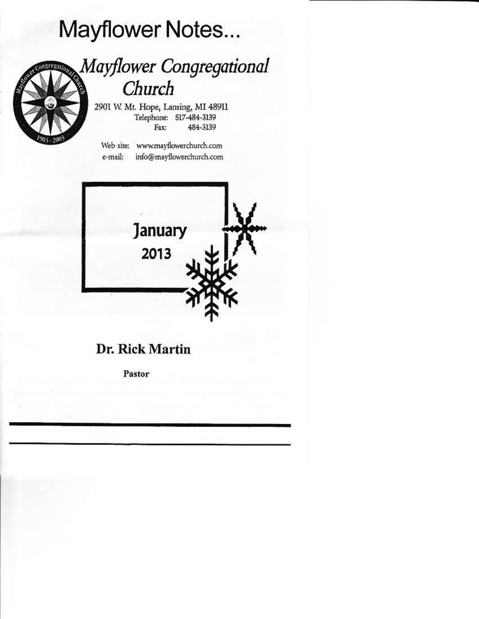# Mayflower Notes...



## Mayflower Congregational Church

2901 W. Mt. Hope, Lansing, MI 48911 Telephone: 517-484-3139 Fax: 484-3139

Web site: www.mayflowerchurch.com info@mayflowerchurch.com e-mail:



### Dr. Rick Martin

Pastor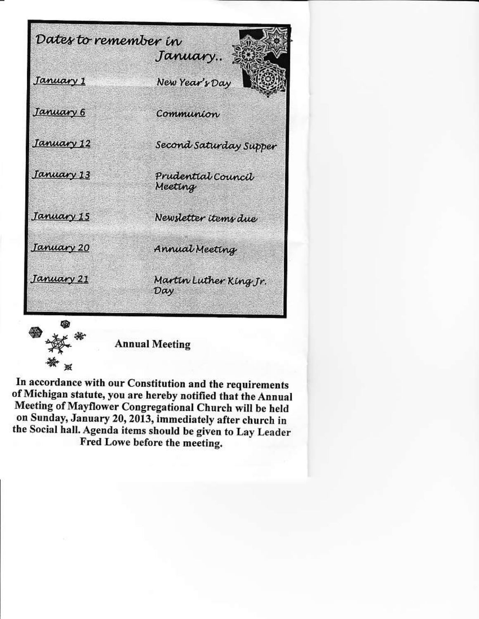



**Annual Meeting** 

In accordance with our Constitution and the requirements of Michigan statute, you are hereby notified that the Annual Meeting of Mayflower Congregational Church will be held on Sunday, January 20, 2013, immediately after church in the Social hall. Agenda items should be given to Lay Leader Fred Lowe before the meeting.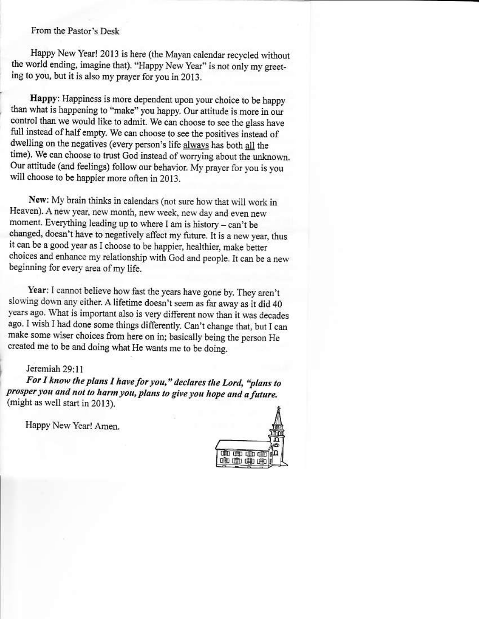From the Pastor's Desk

Happy New Year! 2013 is here (the Mayan calendar recycled without the world ending, imagine that). "Happy New Year" is not only my greeting to you, but it is also my prayer for you in 2013.

Happy: Happiness is more dependent upon your choice to be happy than what is happening to "make" you happy. Our attitude is more in our control than we would like to admit. We can choose to see the glass have full instead of half empty. We can choose to see the positives instead of dwelling on the negatives (every person's life always has both all the time). We can choose to trust God instead of worrying about the unknown. Our attitude (and feelings) follow our behavior. My prayer for you is you will choose to be happier more often in 2013.

New: My brain thinks in calendars (not sure how that will work in Heaven). A new year, new month, new week, new day and even new moment. Everything leading up to where I am is history - can't be changed, doesn't have to negatively affect my future. It is a new year, thus it can be a good year as I choose to be happier, healthier, make better choices and enhance my relationship with God and people. It can be a new beginning for every area of my life.

Year: I cannot believe how fast the years have gone by. They aren't slowing down any either. A lifetime doesn't seem as far away as it did 40 years ago. What is important also is very different now than it was decades ago. I wish I had done some things differently. Can't change that, but I can make some wiser choices from here on in; basically being the person He created me to be and doing what He wants me to be doing.

#### Jeremiah 29:11

For I know the plans I have for you," declares the Lord, "plans to prosper you and not to harm you, plans to give you hope and a future. (might as well start in 2013).

Happy New Year! Amen.

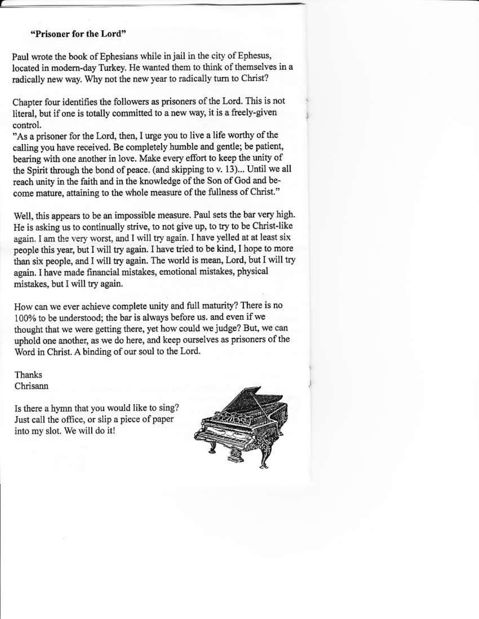#### "Prisoner for the Lord"

Paul wrote the book of Ephesians while in jail in the city of Ephesus, located in modern-day Turkey. He wanted them to think of themselves in a radically new way. Why not the new year to radically turn to Christ?

Chapter four identifies the followers as prisoners of the Lord. This is not literal, but if one is totally committed to a new way, it is a freely-given control.

"As a prisoner for the Lord, then, I urge you to live a life worthy of the calling you have received. Be completely humble and gentle; be patient, bearing with one another in love. Make every effort to keep the unity of the Spirit through the bond of peace. (and skipping to v. 13)... Until we all reach unity in the faith and in the knowledge of the Son of God and become mature, attaining to the whole measure of the fullness of Christ."

Well, this appears to be an impossible measure. Paul sets the bar very high. He is asking us to continually strive, to not give up, to try to be Christ-like again. I am the very worst, and I will try again. I have yelled at at least six people this year, but I will try again. I have tried to be kind, I hope to more than six people, and I will try again. The world is mean, Lord, but I will try again. I have made financial mistakes, emotional mistakes, physical mistakes, but I will try again.

How can we ever achieve complete unity and full maturity? There is no 100% to be understood; the bar is always before us. and even if we thought that we were getting there, yet how could we judge? But, we can uphold one another, as we do here, and keep ourselves as prisoners of the Word in Christ. A binding of our soul to the Lord.

Thanks Chrisann

Is there a hymn that you would like to sing? Just call the office, or slip a piece of paper into my slot. We will do it!

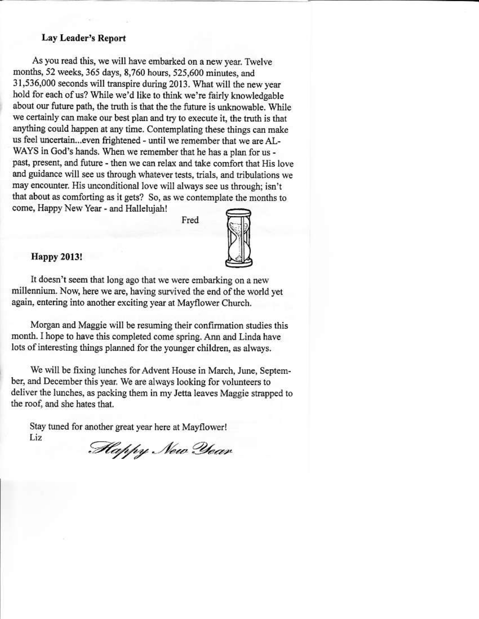#### **Lay Leader's Report**

As you read this, we will have embarked on a new year. Twelve months, 52 weeks, 365 days, 8,760 hours, 525,600 minutes, and 31,536,000 seconds will transpire during 2013. What will the new year hold for each of us? While we'd like to think we're fairly knowledgable about our future path, the truth is that the the future is unknowable. While we certainly can make our best plan and try to execute it, the truth is that anything could happen at any time. Contemplating these things can make us feel uncertain...even frightened - until we remember that we are AL-WAYS in God's hands. When we remember that he has a plan for us past, present, and future - then we can relax and take comfort that His love and guidance will see us through whatever tests, trials, and tribulations we may encounter. His unconditional love will always see us through; isn't that about as comforting as it gets? So, as we contemplate the months to come, Happy New Year - and Halleluiah!

Fred



#### **Happy 2013!**

It doesn't seem that long ago that we were embarking on a new millennium. Now, here we are, having survived the end of the world vet again, entering into another exciting year at Mayflower Church.

Morgan and Maggie will be resuming their confirmation studies this month. I hope to have this completed come spring. Ann and Linda have lots of interesting things planned for the younger children, as always.

We will be fixing lunches for Advent House in March, June, September, and December this year. We are always looking for volunteers to deliver the lunches, as packing them in my Jetta leaves Maggie strapped to the roof, and she hates that.

Stay tuned for another great year here at Mayflower! Liz

Happy New Year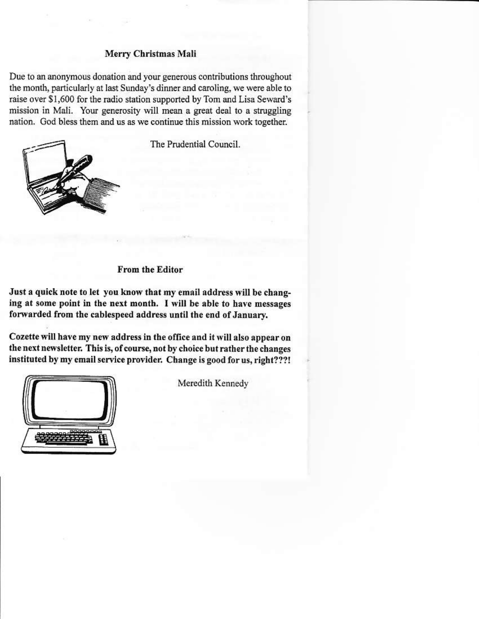#### Merry Christmas Mali

Due to an anonymous donation and your generous contributions throughout the month, particularly at last Sunday's dinner and caroling, we were able to raise over \$1,600 for the radio station supported by Tom and Lisa Seward's mission in Mali. Your generosity will mean a great deal to a struggling nation. God bless them and us as we continue this mission work together.



The Prudential Council.

#### **From the Editor**

Just a quick note to let you know that my email address will be changing at some point in the next month. I will be able to have messages forwarded from the cablespeed address until the end of January.

Cozette will have my new address in the office and it will also appear on the next newsletter. This is, of course, not by choice but rather the changes instituted by my email service provider. Change is good for us, right???!



Meredith Kennedy